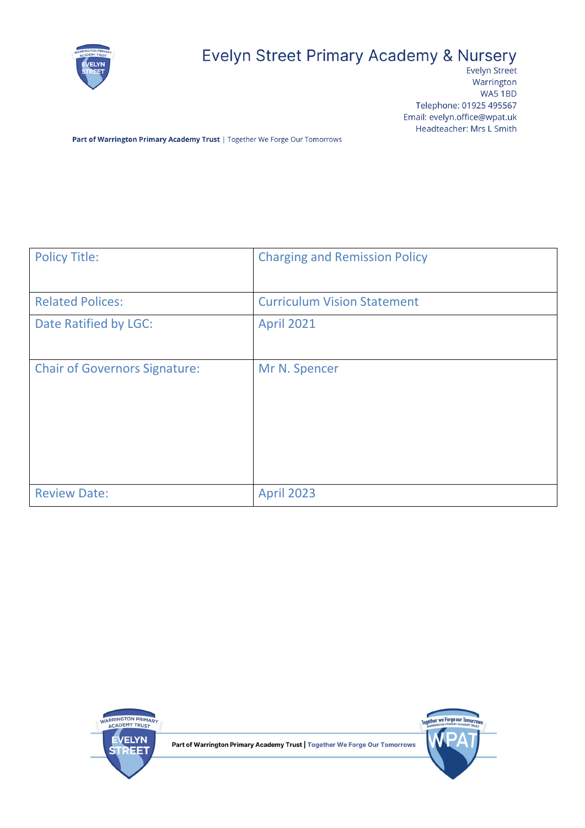

# Evelyn Street Primary Academy & Nursery

Evelyn Street Warrington WA5 1BD Telephone: 01925 495567 Email: evelyn.office@wpat.uk Headteacher: Mrs L Smith

Part of Warrington Primary Academy Trust | Together We Forge Our Tomorrows

| <b>Policy Title:</b>                 | <b>Charging and Remission Policy</b> |  |
|--------------------------------------|--------------------------------------|--|
|                                      |                                      |  |
| <b>Related Polices:</b>              | <b>Curriculum Vision Statement</b>   |  |
| Date Ratified by LGC:                | <b>April 2021</b>                    |  |
|                                      |                                      |  |
| <b>Chair of Governors Signature:</b> | Mr N. Spencer                        |  |
|                                      |                                      |  |
| <b>Review Date:</b>                  | <b>April 2023</b>                    |  |



Part of Warrington Primary Academy Trust | Together We Forge Our Tomorrows

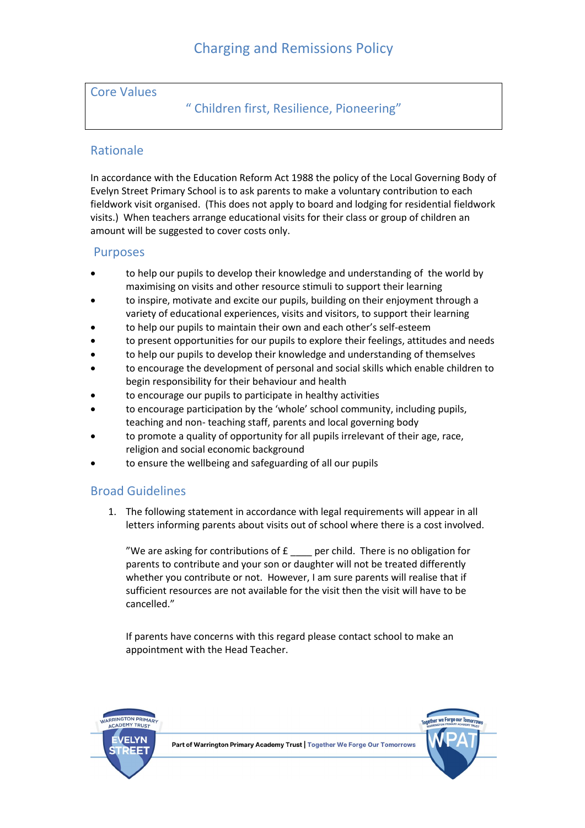#### Core Values

## " Children first, Resilience, Pioneering"

### Rationale

In accordance with the Education Reform Act 1988 the policy of the Local Governing Body of Evelyn Street Primary School is to ask parents to make a voluntary contribution to each fieldwork visit organised. (This does not apply to board and lodging for residential fieldwork visits.) When teachers arrange educational visits for their class or group of children an amount will be suggested to cover costs only.

#### Purposes

- to help our pupils to develop their knowledge and understanding of the world by maximising on visits and other resource stimuli to support their learning
- to inspire, motivate and excite our pupils, building on their enjoyment through a variety of educational experiences, visits and visitors, to support their learning
- to help our pupils to maintain their own and each other's self-esteem
- to present opportunities for our pupils to explore their feelings, attitudes and needs
- to help our pupils to develop their knowledge and understanding of themselves
- to encourage the development of personal and social skills which enable children to begin responsibility for their behaviour and health
- to encourage our pupils to participate in healthy activities
- to encourage participation by the 'whole' school community, including pupils, teaching and non- teaching staff, parents and local governing body
- to promote a quality of opportunity for all pupils irrelevant of their age, race, religion and social economic background
- to ensure the wellbeing and safeguarding of all our pupils

## Broad Guidelines

1. The following statement in accordance with legal requirements will appear in all letters informing parents about visits out of school where there is a cost involved.

"We are asking for contributions of  $E$  \_\_\_\_ per child. There is no obligation for parents to contribute and your son or daughter will not be treated differently whether you contribute or not. However, I am sure parents will realise that if sufficient resources are not available for the visit then the visit will have to be cancelled."

If parents have concerns with this regard please contact school to make an appointment with the Head Teacher.